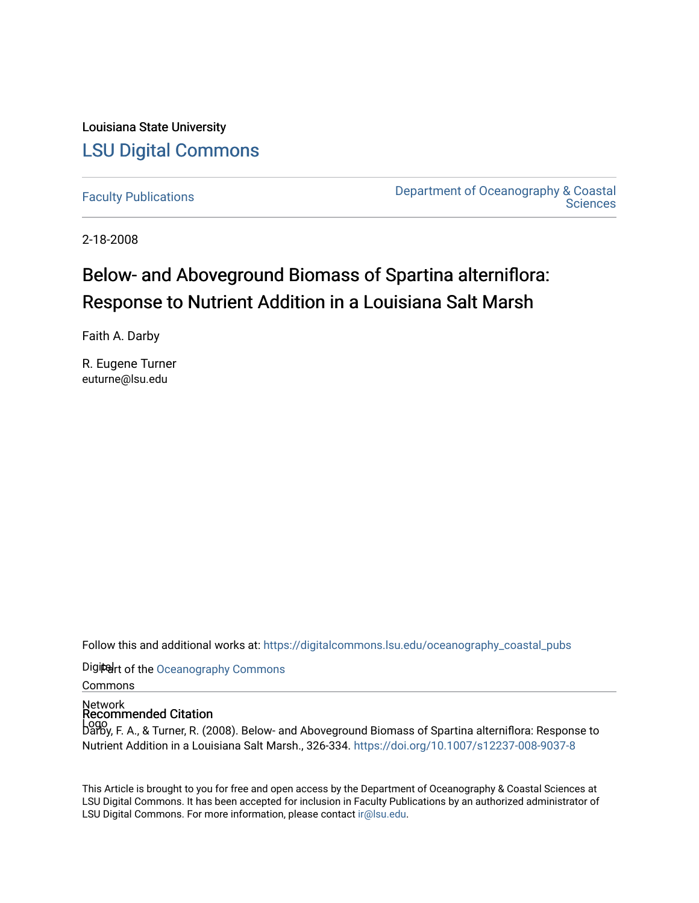Louisiana State University [LSU Digital Commons](https://digitalcommons.lsu.edu/)

[Faculty Publications](https://digitalcommons.lsu.edu/oceanography_coastal_pubs) [Department of Oceanography & Coastal](https://digitalcommons.lsu.edu/oceanography_coastal)  **Sciences** 

2-18-2008

# Below- and Aboveground Biomass of Spartina alterniflora: Response to Nutrient Addition in a Louisiana Salt Marsh

Faith A. Darby

R. Eugene Turner euturne@lsu.edu

Follow this and additional works at: [https://digitalcommons.lsu.edu/oceanography\\_coastal\\_pubs](https://digitalcommons.lsu.edu/oceanography_coastal_pubs?utm_source=digitalcommons.lsu.edu%2Foceanography_coastal_pubs%2F126&utm_medium=PDF&utm_campaign=PDFCoverPages) 

Digiteart of the Oceanography Commons

Commons

## Network Recommended Citation

Logo Darby, F. A., & Turner, R. (2008). Below- and Aboveground Biomass of Spartina alterniflora: Response to Nutrient Addition in a Louisiana Salt Marsh., 326-334.<https://doi.org/10.1007/s12237-008-9037-8>

This Article is brought to you for free and open access by the Department of Oceanography & Coastal Sciences at LSU Digital Commons. It has been accepted for inclusion in Faculty Publications by an authorized administrator of LSU Digital Commons. For more information, please contact [ir@lsu.edu.](mailto:ir@lsu.edu)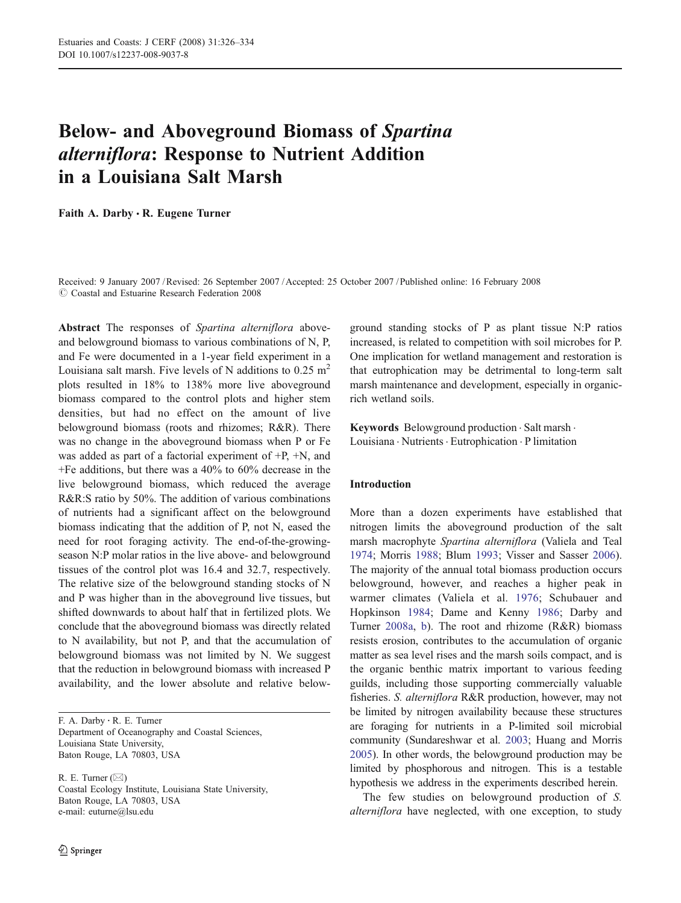## Below- and Aboveground Biomass of Spartina alterniflora: Response to Nutrient Addition in a Louisiana Salt Marsh

Faith A. Darby *&* R. Eugene Turner

Received: 9 January 2007 /Revised: 26 September 2007 /Accepted: 25 October 2007 / Published online: 16 February 2008  $\odot$  Coastal and Estuarine Research Federation 2008

Abstract The responses of Spartina alterniflora aboveand belowground biomass to various combinations of N, P, and Fe were documented in a 1-year field experiment in a Louisiana salt marsh. Five levels of N additions to  $0.25 \text{ m}^2$ plots resulted in 18% to 138% more live aboveground biomass compared to the control plots and higher stem densities, but had no effect on the amount of live belowground biomass (roots and rhizomes; R&R). There was no change in the aboveground biomass when P or Fe was added as part of a factorial experiment of  $+P$ ,  $+N$ , and +Fe additions, but there was a 40% to 60% decrease in the live belowground biomass, which reduced the average R&R:S ratio by 50%. The addition of various combinations of nutrients had a significant affect on the belowground biomass indicating that the addition of P, not N, eased the need for root foraging activity. The end-of-the-growingseason N:P molar ratios in the live above- and belowground tissues of the control plot was 16.4 and 32.7, respectively. The relative size of the belowground standing stocks of N and P was higher than in the aboveground live tissues, but shifted downwards to about half that in fertilized plots. We conclude that the aboveground biomass was directly related to N availability, but not P, and that the accumulation of belowground biomass was not limited by N. We suggest that the reduction in belowground biomass with increased P availability, and the lower absolute and relative below-

F. A. Darby *:* R. E. Turner Department of Oceanography and Coastal Sciences, Louisiana State University, Baton Rouge, LA 70803, USA

R. E. Turner  $(\boxtimes)$ Coastal Ecology Institute, Louisiana State University, Baton Rouge, LA 70803, USA e-mail: euturne@lsu.edu

ground standing stocks of P as plant tissue N:P ratios increased, is related to competition with soil microbes for P. One implication for wetland management and restoration is that eutrophication may be detrimental to long-term salt marsh maintenance and development, especially in organicrich wetland soils.

Keywords Belowground production . Salt marsh . Louisiana . Nutrients. Eutrophication . P limitation

## Introduction

More than a dozen experiments have established that nitrogen limits the aboveground production of the salt marsh macrophyte Spartina alterniflora (Valiela and Teal [1974](#page-9-0); Morris [1988](#page-9-0); Blum [1993](#page-9-0); Visser and Sasser [2006\)](#page-9-0). The majority of the annual total biomass production occurs belowground, however, and reaches a higher peak in warmer climates (Valiela et al. [1976](#page-9-0); Schubauer and Hopkinson [1984;](#page-9-0) Dame and Kenny [1986;](#page-9-0) Darby and Turner [2008a,](#page-9-0) [b\)](#page-9-0). The root and rhizome (R&R) biomass resists erosion, contributes to the accumulation of organic matter as sea level rises and the marsh soils compact, and is the organic benthic matrix important to various feeding guilds, including those supporting commercially valuable fisheries. S. alterniflora R&R production, however, may not be limited by nitrogen availability because these structures are foraging for nutrients in a P-limited soil microbial community (Sundareshwar et al. [2003;](#page-9-0) Huang and Morris [2005\)](#page-9-0). In other words, the belowground production may be limited by phosphorous and nitrogen. This is a testable hypothesis we address in the experiments described herein.

The few studies on belowground production of S. alterniflora have neglected, with one exception, to study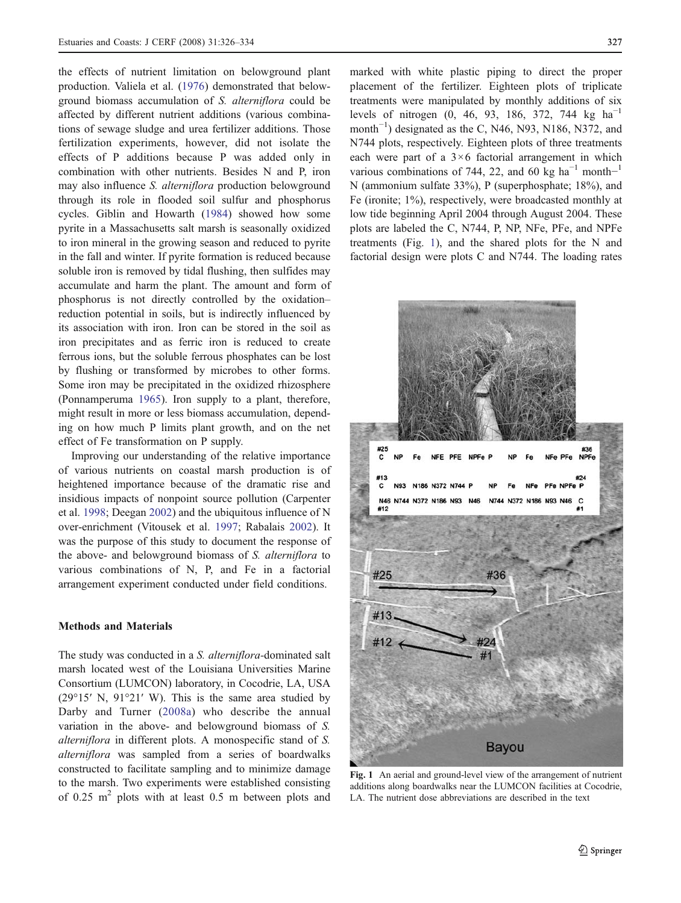<span id="page-2-0"></span>the effects of nutrient limitation on belowground plant production. Valiela et al. [\(1976](#page-9-0)) demonstrated that belowground biomass accumulation of S. alterniflora could be affected by different nutrient additions (various combinations of sewage sludge and urea fertilizer additions. Those fertilization experiments, however, did not isolate the effects of P additions because P was added only in combination with other nutrients. Besides N and P, iron may also influence S. alterniflora production belowground through its role in flooded soil sulfur and phosphorus cycles. Giblin and Howarth ([1984\)](#page-9-0) showed how some pyrite in a Massachusetts salt marsh is seasonally oxidized to iron mineral in the growing season and reduced to pyrite in the fall and winter. If pyrite formation is reduced because soluble iron is removed by tidal flushing, then sulfides may accumulate and harm the plant. The amount and form of phosphorus is not directly controlled by the oxidation– reduction potential in soils, but is indirectly influenced by its association with iron. Iron can be stored in the soil as iron precipitates and as ferric iron is reduced to create ferrous ions, but the soluble ferrous phosphates can be lost by flushing or transformed by microbes to other forms. Some iron may be precipitated in the oxidized rhizosphere (Ponnamperuma [1965\)](#page-9-0). Iron supply to a plant, therefore, might result in more or less biomass accumulation, depending on how much P limits plant growth, and on the net effect of Fe transformation on P supply.

Improving our understanding of the relative importance of various nutrients on coastal marsh production is of heightened importance because of the dramatic rise and insidious impacts of nonpoint source pollution (Carpenter et al. [1998;](#page-9-0) Deegan [2002\)](#page-9-0) and the ubiquitous influence of N over-enrichment (Vitousek et al. [1997](#page-9-0); Rabalais [2002](#page-9-0)). It was the purpose of this study to document the response of the above- and belowground biomass of S. alterniflora to various combinations of N, P, and Fe in a factorial arrangement experiment conducted under field conditions.

## Methods and Materials

The study was conducted in a *S. alterniflora*-dominated salt marsh located west of the Louisiana Universities Marine Consortium (LUMCON) laboratory, in Cocodrie, LA, USA  $(29°15' N, 91°21' W)$ . This is the same area studied by Darby and Turner [\(2008a\)](#page-9-0) who describe the annual variation in the above- and belowground biomass of S. alterniflora in different plots. A monospecific stand of S. alterniflora was sampled from a series of boardwalks constructed to facilitate sampling and to minimize damage to the marsh. Two experiments were established consisting of 0.25  $m<sup>2</sup>$  plots with at least 0.5 m between plots and

marked with white plastic piping to direct the proper placement of the fertilizer. Eighteen plots of triplicate treatments were manipulated by monthly additions of six levels of nitrogen  $(0, 46, 93, 186, 372, 744 \text{ kg } \text{ha}^{-1})$ month<sup>-1</sup>) designated as the C, N46, N93, N186, N372, and N744 plots, respectively. Eighteen plots of three treatments each were part of a  $3\times 6$  factorial arrangement in which various combinations of 744, 22, and 60 kg ha<sup> $-1$ </sup> month $-1$ N (ammonium sulfate 33%), P (superphosphate; 18%), and Fe (ironite; 1%), respectively, were broadcasted monthly at low tide beginning April 2004 through August 2004. These plots are labeled the C, N744, P, NP, NFe, PFe, and NPFe treatments (Fig. 1), and the shared plots for the N and factorial design were plots C and N744. The loading rates



Fig. 1 An aerial and ground-level view of the arrangement of nutrient additions along boardwalks near the LUMCON facilities at Cocodrie, LA. The nutrient dose abbreviations are described in the text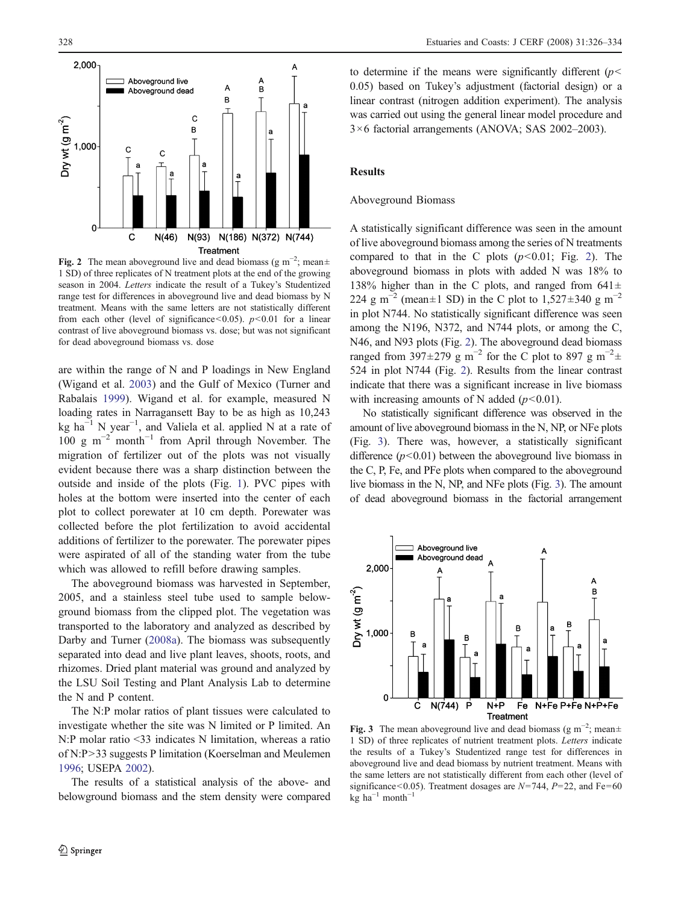

Fig. 2 The mean aboveground live and dead biomass (g m<sup>-2</sup>; mean $\pm$ 1 SD) of three replicates of N treatment plots at the end of the growing season in 2004. Letters indicate the result of a Tukey's Studentized range test for differences in aboveground live and dead biomass by N treatment. Means with the same letters are not statistically different from each other (level of significance  $<0.05$ ).  $p<0.01$  for a linear contrast of live aboveground biomass vs. dose; but was not significant for dead aboveground biomass vs. dose

are within the range of N and P loadings in New England (Wigand et al. [2003](#page-9-0)) and the Gulf of Mexico (Turner and Rabalais [1999\)](#page-9-0). Wigand et al. for example, measured N loading rates in Narragansett Bay to be as high as 10,243 kg ha<sup>-1</sup> N year<sup>-1</sup>, and Valiela et al. applied N at a rate of 100 g m<sup>-2</sup> month<sup>-1</sup> from April through November. The migration of fertilizer out of the plots was not visually evident because there was a sharp distinction between the outside and inside of the plots (Fig. [1](#page-2-0)). PVC pipes with holes at the bottom were inserted into the center of each plot to collect porewater at 10 cm depth. Porewater was collected before the plot fertilization to avoid accidental additions of fertilizer to the porewater. The porewater pipes were aspirated of all of the standing water from the tube which was allowed to refill before drawing samples.

The aboveground biomass was harvested in September, 2005, and a stainless steel tube used to sample belowground biomass from the clipped plot. The vegetation was transported to the laboratory and analyzed as described by Darby and Turner [\(2008a\)](#page-9-0). The biomass was subsequently separated into dead and live plant leaves, shoots, roots, and rhizomes. Dried plant material was ground and analyzed by the LSU Soil Testing and Plant Analysis Lab to determine the N and P content.

The N:P molar ratios of plant tissues were calculated to investigate whether the site was N limited or P limited. An N:P molar ratio <33 indicates N limitation, whereas a ratio of N:P>33 suggests P limitation (Koerselman and Meulemen [1996;](#page-9-0) USEPA [2002](#page-9-0)).

The results of a statistical analysis of the above- and belowground biomass and the stem density were compared to determine if the means were significantly different  $(p<$ 0.05) based on Tukey's adjustment (factorial design) or a linear contrast (nitrogen addition experiment). The analysis was carried out using the general linear model procedure and 3×6 factorial arrangements (ANOVA; SAS 2002–2003).

#### Results

### Aboveground Biomass

A statistically significant difference was seen in the amount of live aboveground biomass among the series of N treatments compared to that in the C plots  $(p<0.01;$  Fig. 2). The aboveground biomass in plots with added N was 18% to 138% higher than in the C plots, and ranged from  $641 \pm$ 224 g m<sup>-2</sup> (mean±1 SD) in the C plot to 1,527±340 g m<sup>-2</sup> in plot N744. No statistically significant difference was seen among the N196, N372, and N744 plots, or among the C, N46, and N93 plots (Fig. 2). The aboveground dead biomass ranged from 397 $\pm$ 279 g m<sup>-2</sup> for the C plot to 897 g m<sup>-2</sup> $\pm$ 524 in plot N744 (Fig. 2). Results from the linear contrast indicate that there was a significant increase in live biomass with increasing amounts of N added  $(p<0.01)$ .

No statistically significant difference was observed in the amount of live aboveground biomass in the N, NP, or NFe plots (Fig. 3). There was, however, a statistically significant difference  $(p<0.01)$  between the aboveground live biomass in the C, P, Fe, and PFe plots when compared to the aboveground live biomass in the N, NP, and NFe plots (Fig. 3). The amount of dead aboveground biomass in the factorial arrangement



Fig. 3 The mean aboveground live and dead biomass (g m<sup>-2</sup>; mean± 1 SD) of three replicates of nutrient treatment plots. Letters indicate the results of a Tukey's Studentized range test for differences in aboveground live and dead biomass by nutrient treatment. Means with the same letters are not statistically different from each other (level of significance < 0.05). Treatment dosages are  $N=744$ ,  $P=22$ , and  $Fe=60$ kg ha<sup>-1</sup> month<sup>-1</sup>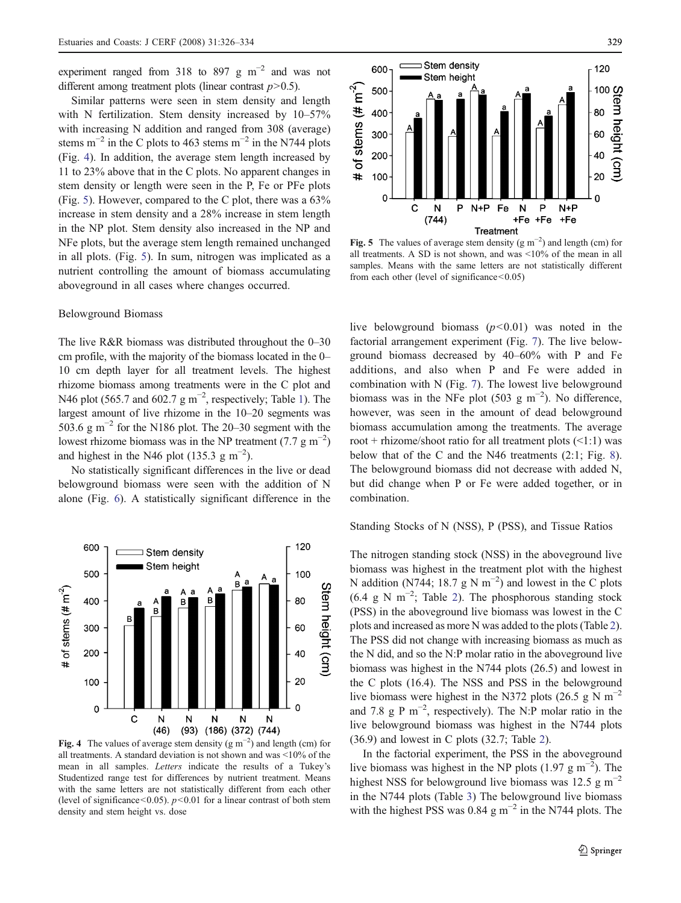experiment ranged from 318 to 897 g m<sup>-2</sup> and was not different among treatment plots (linear contrast  $p > 0.5$ ).

Similar patterns were seen in stem density and length with N fertilization. Stem density increased by  $10-57%$ with increasing N addition and ranged from 308 (average) stems m<sup> $-2$ </sup> in the C plots to 463 stems m<sup> $-2$ </sup> in the N744 plots (Fig. 4). In addition, the average stem length increased by 11 to 23% above that in the C plots. No apparent changes in stem density or length were seen in the P, Fe or PFe plots (Fig. 5). However, compared to the C plot, there was a 63% increase in stem density and a 28% increase in stem length in the NP plot. Stem density also increased in the NP and NFe plots, but the average stem length remained unchanged in all plots. (Fig. 5). In sum, nitrogen was implicated as a nutrient controlling the amount of biomass accumulating aboveground in all cases where changes occurred.

#### Belowground Biomass

The live R&R biomass was distributed throughout the 0–30 cm profile, with the majority of the biomass located in the 0– 10 cm depth layer for all treatment levels. The highest rhizome biomass among treatments were in the C plot and N46 plot (565.7 and 602.7  $\text{g m}^{-2}$ , respectively; Table [1\)](#page-5-0). The largest amount of live rhizome in the 10–20 segments was 503.6 g m<sup> $-2$ </sup> for the N186 plot. The 20–30 segment with the lowest rhizome biomass was in the NP treatment (7.7  $\text{g m}^{-2}$ ) and highest in the N46 plot (135.3  $\text{g m}^{-2}$ ).

No statistically significant differences in the live or dead belowground biomass were seen with the addition of N alone (Fig. [6\)](#page-5-0). A statistically significant difference in the



Fig. 4 The values of average stem density  $(g m^{-2})$  and length (cm) for all treatments. A standard deviation is not shown and was <10% of the mean in all samples. Letters indicate the results of a Tukey's Studentized range test for differences by nutrient treatment. Means with the same letters are not statistically different from each other (level of significance  $<0.05$ ).  $p<0.01$  for a linear contrast of both stem density and stem height vs. dose



Fig. 5 The values of average stem density  $(g m^{-2})$  and length (cm) for all treatments. A SD is not shown, and was <10% of the mean in all samples. Means with the same letters are not statistically different from each other (level of significance  $<0.05$ )

live belowground biomass  $(p<0.01)$  was noted in the factorial arrangement experiment (Fig. [7](#page-5-0)). The live belowground biomass decreased by 40–60% with P and Fe additions, and also when P and Fe were added in combination with N (Fig. [7](#page-5-0)). The lowest live belowground biomass was in the NFe plot (503 g m<sup>-2</sup>). No difference, however, was seen in the amount of dead belowground biomass accumulation among the treatments. The average root + rhizome/shoot ratio for all treatment plots  $(\leq 1:1)$  was below that of the C and the N46 treatments (2:1; Fig. [8\)](#page-6-0). The belowground biomass did not decrease with added N, but did change when P or Fe were added together, or in combination.

Standing Stocks of N (NSS), P (PSS), and Tissue Ratios

The nitrogen standing stock (NSS) in the aboveground live biomass was highest in the treatment plot with the highest N addition (N744; 18.7  $g$  N m<sup>-2</sup>) and lowest in the C plots (6.4 g N m<sup>-2</sup>; Table [2\)](#page-6-0). The phosphorous standing stock (PSS) in the aboveground live biomass was lowest in the C plots and increased as more N was added to the plots (Table [2\)](#page-6-0). The PSS did not change with increasing biomass as much as the N did, and so the N:P molar ratio in the aboveground live biomass was highest in the N744 plots (26.5) and lowest in the C plots (16.4). The NSS and PSS in the belowground live biomass were highest in the N372 plots (26.5 g N m<sup>-2</sup> and 7.8 g P m<sup>-2</sup>, respectively). The N:P molar ratio in the live belowground biomass was highest in the N744 plots (36.9) and lowest in C plots (32.7; Table [2\)](#page-6-0).

In the factorial experiment, the PSS in the aboveground live biomass was highest in the NP plots (1.97 g m<sup>-2</sup>). The highest NSS for belowground live biomass was 12.5 g m<sup>-2</sup> in the N744 plots (Table [3](#page-7-0)) The belowground live biomass with the highest PSS was 0.84 g m<sup> $-2$ </sup> in the N744 plots. The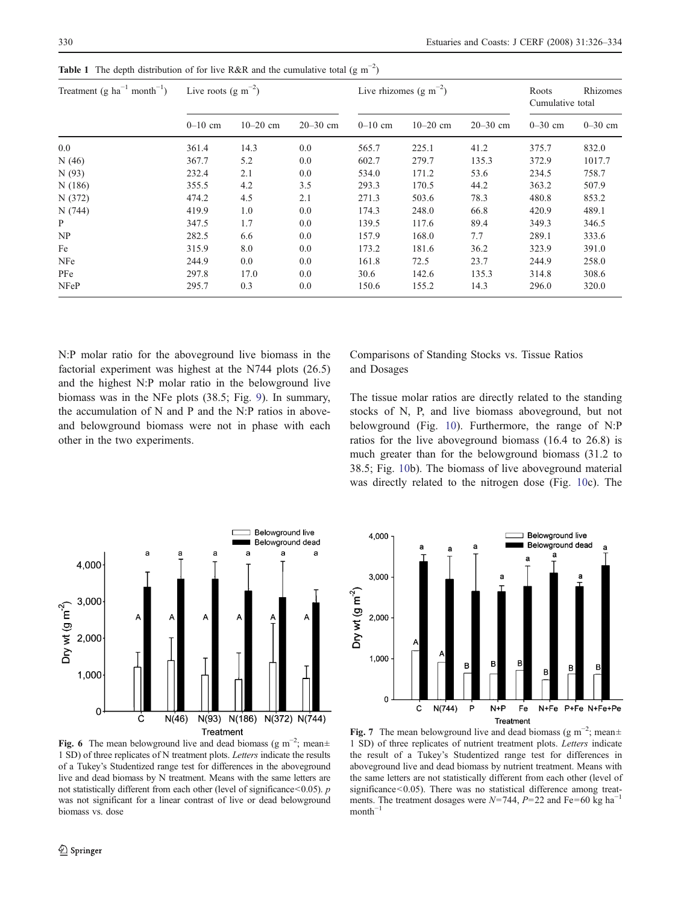| Treatment (g $ha^{-1}$ month <sup>-1</sup> ) | Live roots $(g m^{-2})$ |              |              |             | Live rhizomes $(g m^{-2})$ | Rhizomes<br>Roots<br>Cumulative total |             |             |
|----------------------------------------------|-------------------------|--------------|--------------|-------------|----------------------------|---------------------------------------|-------------|-------------|
|                                              | $0 - 10$ cm             | $10 - 20$ cm | $20 - 30$ cm | $0 - 10$ cm | $10 - 20$ cm               | $20 - 30$ cm                          | $0 - 30$ cm | $0 - 30$ cm |
| 0.0                                          | 361.4                   | 14.3         | 0.0          | 565.7       | 225.1                      | 41.2                                  | 375.7       | 832.0       |
| N(46)                                        | 367.7                   | 5.2          | 0.0          | 602.7       | 279.7                      | 135.3                                 | 372.9       | 1017.7      |
| N(93)                                        | 232.4                   | 2.1          | 0.0          | 534.0       | 171.2                      | 53.6                                  | 234.5       | 758.7       |
| N(186)                                       | 355.5                   | 4.2          | 3.5          | 293.3       | 170.5                      | 44.2                                  | 363.2       | 507.9       |
| N(372)                                       | 474.2                   | 4.5          | 2.1          | 271.3       | 503.6                      | 78.3                                  | 480.8       | 853.2       |
| N(744)                                       | 419.9                   | 1.0          | 0.0          | 174.3       | 248.0                      | 66.8                                  | 420.9       | 489.1       |
| P                                            | 347.5                   | 1.7          | 0.0          | 139.5       | 117.6                      | 89.4                                  | 349.3       | 346.5       |
| NP                                           | 282.5                   | 6.6          | 0.0          | 157.9       | 168.0                      | 7.7                                   | 289.1       | 333.6       |
| Fe                                           | 315.9                   | 8.0          | 0.0          | 173.2       | 181.6                      | 36.2                                  | 323.9       | 391.0       |
| NFe                                          | 244.9                   | 0.0          | 0.0          | 161.8       | 72.5                       | 23.7                                  | 244.9       | 258.0       |
| PFe                                          | 297.8                   | 17.0         | 0.0          | 30.6        | 142.6                      | 135.3                                 | 314.8       | 308.6       |
| NFeP                                         | 295.7                   | 0.3          | 0.0          | 150.6       | 155.2                      | 14.3                                  | 296.0       | 320.0       |

<span id="page-5-0"></span>Table 1 The depth distribution of for live R&R and the cumulative total  $(g m^{-2})$ 

N:P molar ratio for the aboveground live biomass in the factorial experiment was highest at the N744 plots (26.5) and the highest N:P molar ratio in the belowground live biomass was in the NFe plots (38.5; Fig. [9](#page-7-0)). In summary, the accumulation of N and P and the N:P ratios in aboveand belowground biomass were not in phase with each other in the two experiments.

Comparisons of Standing Stocks vs. Tissue Ratios and Dosages

The tissue molar ratios are directly related to the standing stocks of N, P, and live biomass aboveground, but not belowground (Fig. [10](#page-8-0)). Furthermore, the range of N:P ratios for the live aboveground biomass (16.4 to 26.8) is much greater than for the belowground biomass (31.2 to 38.5; Fig. [10b](#page-8-0)). The biomass of live aboveground material was directly related to the nitrogen dose (Fig. [10](#page-8-0)c). The



Fig. 6 The mean belowground live and dead biomass (g m<sup>-2</sup>; mean $\pm$ 1 SD) of three replicates of N treatment plots. Letters indicate the results of a Tukey's Studentized range test for differences in the aboveground live and dead biomass by N treatment. Means with the same letters are not statistically different from each other (level of significance  $< 0.05$ ). p was not significant for a linear contrast of live or dead belowground biomass vs. dose



Fig. 7 The mean belowground live and dead biomass (g m<sup>-2</sup>; mean± 1 SD) of three replicates of nutrient treatment plots. Letters indicate the result of a Tukey's Studentized range test for differences in aboveground live and dead biomass by nutrient treatment. Means with the same letters are not statistically different from each other (level of significance<0.05). There was no statistical difference among treatments. The treatment dosages were  $N=744$ ,  $P=22$  and Fe=60 kg ha<sup>-1</sup> month<sup>-1</sup>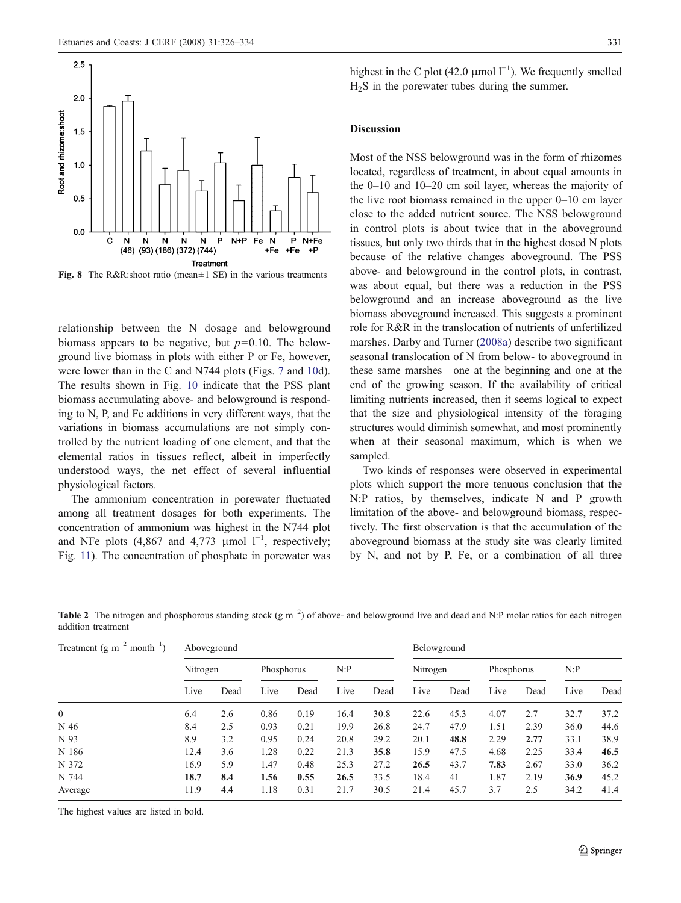<span id="page-6-0"></span>

Fig. 8 The R&R:shoot ratio (mean±1 SE) in the various treatments

relationship between the N dosage and belowground biomass appears to be negative, but  $p=0.10$ . The belowground live biomass in plots with either P or Fe, however, were lower than in the C and N744 plots (Figs. [7](#page-5-0) and [10](#page-8-0)d). The results shown in Fig. [10](#page-8-0) indicate that the PSS plant biomass accumulating above- and belowground is responding to N, P, and Fe additions in very different ways, that the variations in biomass accumulations are not simply controlled by the nutrient loading of one element, and that the elemental ratios in tissues reflect, albeit in imperfectly understood ways, the net effect of several influential physiological factors.

The ammonium concentration in porewater fluctuated among all treatment dosages for both experiments. The concentration of ammonium was highest in the N744 plot and NFe plots (4,867 and 4,773 µmol  $1^{-1}$ , respectively; Fig. [11\)](#page-8-0). The concentration of phosphate in porewater was

highest in the C plot (42.0 µmol  $l^{-1}$ ). We frequently smelled  $H<sub>2</sub>S$  in the porewater tubes during the summer.

## Discussion

Most of the NSS belowground was in the form of rhizomes located, regardless of treatment, in about equal amounts in the 0–10 and 10–20 cm soil layer, whereas the majority of the live root biomass remained in the upper 0–10 cm layer close to the added nutrient source. The NSS belowground in control plots is about twice that in the aboveground tissues, but only two thirds that in the highest dosed N plots because of the relative changes aboveground. The PSS above- and belowground in the control plots, in contrast, was about equal, but there was a reduction in the PSS belowground and an increase aboveground as the live biomass aboveground increased. This suggests a prominent role for R&R in the translocation of nutrients of unfertilized marshes. Darby and Turner ([2008a](#page-9-0)) describe two significant seasonal translocation of N from below- to aboveground in these same marshes—one at the beginning and one at the end of the growing season. If the availability of critical limiting nutrients increased, then it seems logical to expect that the size and physiological intensity of the foraging structures would diminish somewhat, and most prominently when at their seasonal maximum, which is when we sampled.

Two kinds of responses were observed in experimental plots which support the more tenuous conclusion that the N:P ratios, by themselves, indicate N and P growth limitation of the above- and belowground biomass, respectively. The first observation is that the accumulation of the aboveground biomass at the study site was clearly limited by N, and not by P, Fe, or a combination of all three

Table 2 The nitrogen and phosphorous standing stock (g m<sup>-2</sup>) of above- and belowground live and dead and N:P molar ratios for each nitrogen addition treatment

| Treatment (g m <sup>-2</sup> month <sup>-1</sup> ) | Aboveground |      |            |      |      |      |          | Belowground |            |      |      |      |  |  |
|----------------------------------------------------|-------------|------|------------|------|------|------|----------|-------------|------------|------|------|------|--|--|
|                                                    | Nitrogen    |      | Phosphorus |      | N:P  |      | Nitrogen |             | Phosphorus |      | N:P  |      |  |  |
|                                                    | Live        | Dead | Live       | Dead | Live | Dead | Live     | Dead        | Live       | Dead | Live | Dead |  |  |
| $\Omega$                                           | 6.4         | 2.6  | 0.86       | 0.19 | 16.4 | 30.8 | 22.6     | 45.3        | 4.07       | 2.7  | 32.7 | 37.2 |  |  |
| N 46                                               | 8.4         | 2.5  | 0.93       | 0.21 | 19.9 | 26.8 | 24.7     | 47.9        | 1.51       | 2.39 | 36.0 | 44.6 |  |  |
| N 93                                               | 8.9         | 3.2  | 0.95       | 0.24 | 20.8 | 29.2 | 20.1     | 48.8        | 2.29       | 2.77 | 33.1 | 38.9 |  |  |
| N 186                                              | 12.4        | 3.6  | 1.28       | 0.22 | 21.3 | 35.8 | 15.9     | 47.5        | 4.68       | 2.25 | 33.4 | 46.5 |  |  |
| N 372                                              | 16.9        | 5.9  | 1.47       | 0.48 | 25.3 | 27.2 | 26.5     | 43.7        | 7.83       | 2.67 | 33.0 | 36.2 |  |  |
| N 744                                              | 18.7        | 8.4  | 1.56       | 0.55 | 26.5 | 33.5 | 18.4     | 41          | 1.87       | 2.19 | 36.9 | 45.2 |  |  |
| Average                                            | 11.9        | 4.4  | 1.18       | 0.31 | 21.7 | 30.5 | 21.4     | 45.7        | 3.7        | 2.5  | 34.2 | 41.4 |  |  |

The highest values are listed in bold.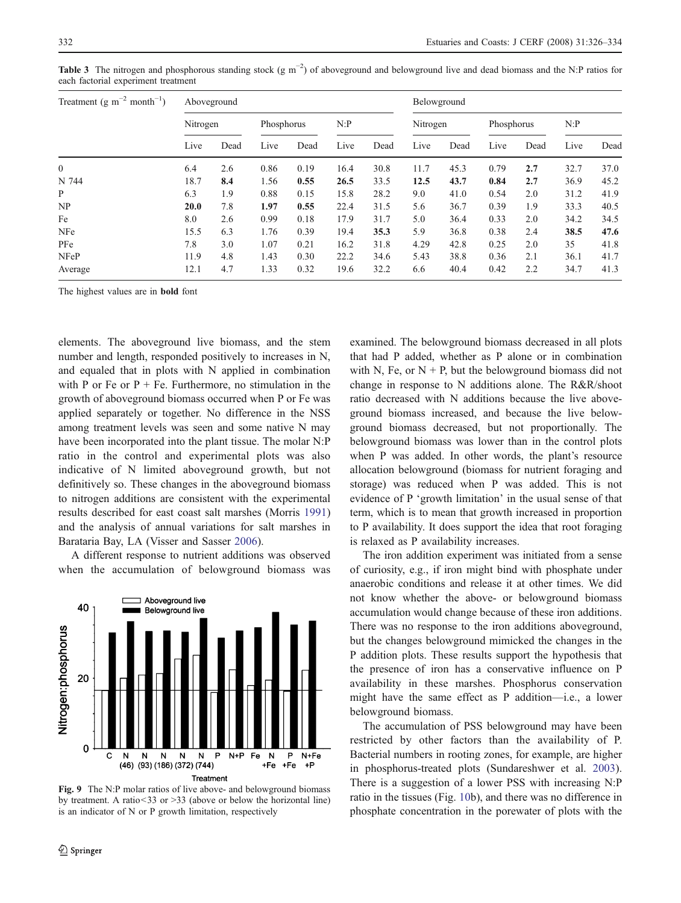| Treatment (g m <sup>-2</sup> month <sup>-1</sup> ) | Aboveground |      |            |      |      |      | Belowground |      |            |      |      |      |  |
|----------------------------------------------------|-------------|------|------------|------|------|------|-------------|------|------------|------|------|------|--|
|                                                    | Nitrogen    |      | Phosphorus |      | N:P  |      | Nitrogen    |      | Phosphorus |      | N:P  |      |  |
|                                                    | Live        | Dead | Live       | Dead | Live | Dead | Live        | Dead | Live       | Dead | Live | Dead |  |
| $\mathbf{0}$                                       | 6.4         | 2.6  | 0.86       | 0.19 | 16.4 | 30.8 | 11.7        | 45.3 | 0.79       | 2.7  | 32.7 | 37.0 |  |
| N 744                                              | 18.7        | 8.4  | 1.56       | 0.55 | 26.5 | 33.5 | 12.5        | 43.7 | 0.84       | 2.7  | 36.9 | 45.2 |  |
| P                                                  | 6.3         | 1.9  | 0.88       | 0.15 | 15.8 | 28.2 | 9.0         | 41.0 | 0.54       | 2.0  | 31.2 | 41.9 |  |
| NP                                                 | 20.0        | 7.8  | 1.97       | 0.55 | 22.4 | 31.5 | 5.6         | 36.7 | 0.39       | 1.9  | 33.3 | 40.5 |  |
| Fe                                                 | 8.0         | 2.6  | 0.99       | 0.18 | 17.9 | 31.7 | 5.0         | 36.4 | 0.33       | 2.0  | 34.2 | 34.5 |  |
| NFe                                                | 15.5        | 6.3  | 1.76       | 0.39 | 19.4 | 35.3 | 5.9         | 36.8 | 0.38       | 2.4  | 38.5 | 47.6 |  |
| PFe                                                | 7.8         | 3.0  | 1.07       | 0.21 | 16.2 | 31.8 | 4.29        | 42.8 | 0.25       | 2.0  | 35   | 41.8 |  |
| NFeP                                               | 11.9        | 4.8  | 1.43       | 0.30 | 22.2 | 34.6 | 5.43        | 38.8 | 0.36       | 2.1  | 36.1 | 41.7 |  |
| Average                                            | 12.1        | 4.7  | 1.33       | 0.32 | 19.6 | 32.2 | 6.6         | 40.4 | 0.42       | 2.2  | 34.7 | 41.3 |  |

<span id="page-7-0"></span>Table 3 The nitrogen and phosphorous standing stock (g m<sup>-2</sup>) of aboveground and belowground live and dead biomass and the N:P ratios for each factorial experiment treatment

The highest values are in bold font

elements. The aboveground live biomass, and the stem number and length, responded positively to increases in N, and equaled that in plots with N applied in combination with P or Fe or  $P + Fe$ . Furthermore, no stimulation in the growth of aboveground biomass occurred when P or Fe was applied separately or together. No difference in the NSS among treatment levels was seen and some native N may have been incorporated into the plant tissue. The molar N:P ratio in the control and experimental plots was also indicative of N limited aboveground growth, but not definitively so. These changes in the aboveground biomass to nitrogen additions are consistent with the experimental results described for east coast salt marshes (Morris [1991\)](#page-9-0) and the analysis of annual variations for salt marshes in Barataria Bay, LA (Visser and Sasser [2006](#page-9-0)).

A different response to nutrient additions was observed when the accumulation of belowground biomass was



Fig. 9 The N:P molar ratios of live above- and belowground biomass by treatment. A ratio<33 or >33 (above or below the horizontal line) is an indicator of N or P growth limitation, respectively

examined. The belowground biomass decreased in all plots that had P added, whether as P alone or in combination with N, Fe, or  $N + P$ , but the belowground biomass did not change in response to N additions alone. The R&R/shoot ratio decreased with N additions because the live aboveground biomass increased, and because the live belowground biomass decreased, but not proportionally. The belowground biomass was lower than in the control plots when P was added. In other words, the plant's resource allocation belowground (biomass for nutrient foraging and storage) was reduced when P was added. This is not evidence of P 'growth limitation' in the usual sense of that term, which is to mean that growth increased in proportion to P availability. It does support the idea that root foraging is relaxed as P availability increases.

The iron addition experiment was initiated from a sense of curiosity, e.g., if iron might bind with phosphate under anaerobic conditions and release it at other times. We did not know whether the above- or belowground biomass accumulation would change because of these iron additions. There was no response to the iron additions aboveground, but the changes belowground mimicked the changes in the P addition plots. These results support the hypothesis that the presence of iron has a conservative influence on P availability in these marshes. Phosphorus conservation might have the same effect as P addition—i.e., a lower belowground biomass.

The accumulation of PSS belowground may have been restricted by other factors than the availability of P. Bacterial numbers in rooting zones, for example, are higher in phosphorus-treated plots (Sundareshwer et al. [2003\)](#page-9-0). There is a suggestion of a lower PSS with increasing N:P ratio in the tissues (Fig. [10b](#page-8-0)), and there was no difference in phosphate concentration in the porewater of plots with the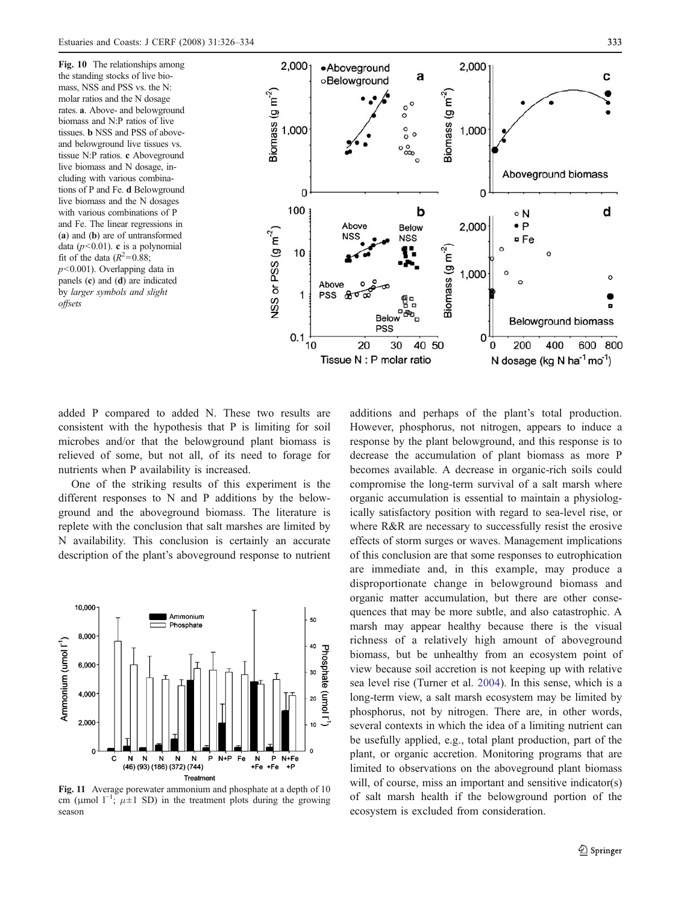Fig. 10 The relationships among the standing stocks of live biomass, NSS and PSS vs. the N: molar ratios and the N dosage rates. a. Above- and belowground biomass and N:P ratios of live tissues. b NSS and PSS of aboveand belowground live tissues vs. tissue N:P ratios. c Aboveground live biomass and N dosage, including with various combinations of P and Fe. d Belowground live biomass and the N dosages with various combinations of P and Fe. The linear regressions in (a) and (b) are of untransformed data ( $p$ <0.01). c is a polynomial fit of the data  $(R^2=0.88;$  $p<0.001$ ). Overlapping data in panels (c) and (d) are indicated by larger symbols and slight offsets

<span id="page-8-0"></span>

added P compared to added N. These two results are consistent with the hypothesis that P is limiting for soil microbes and/or that the belowground plant biomass is relieved of some, but not all, of its need to forage for nutrients when P availability is increased.

10

20

Tissue N : P molar ratio

30

40 50

One of the striking results of this experiment is the different responses to N and P additions by the belowground and the aboveground biomass. The literature is replete with the conclusion that salt marshes are limited by N availability. This conclusion is certainly an accurate description of the plant's aboveground response to nutrient



Fig. 11 Average porewater ammonium and phosphate at a depth of 10 cm (μmol  $1^{-1}$ ;  $\mu \pm 1$  SD) in the treatment plots during the growing season

additions and perhaps of the plant's total production. However, phosphorus, not nitrogen, appears to induce a response by the plant belowground, and this response is to decrease the accumulation of plant biomass as more P becomes available. A decrease in organic-rich soils could compromise the long-term survival of a salt marsh where organic accumulation is essential to maintain a physiologically satisfactory position with regard to sea-level rise, or where R&R are necessary to successfully resist the erosive effects of storm surges or waves. Management implications of this conclusion are that some responses to eutrophication are immediate and, in this example, may produce a disproportionate change in belowground biomass and organic matter accumulation, but there are other consequences that may be more subtle, and also catastrophic. A marsh may appear healthy because there is the visual richness of a relatively high amount of aboveground biomass, but be unhealthy from an ecosystem point of view because soil accretion is not keeping up with relative sea level rise (Turner et al. [2004\)](#page-9-0). In this sense, which is a long-term view, a salt marsh ecosystem may be limited by phosphorus, not by nitrogen. There are, in other words, several contexts in which the idea of a limiting nutrient can be usefully applied, e.g., total plant production, part of the plant, or organic accretion. Monitoring programs that are limited to observations on the aboveground plant biomass will, of course, miss an important and sensitive indicator(s) of salt marsh health if the belowground portion of the ecosystem is excluded from consideration.

200

0

400

N dosage (kg N ha<sup>-1</sup> mo<sup>-1</sup>)

600 800